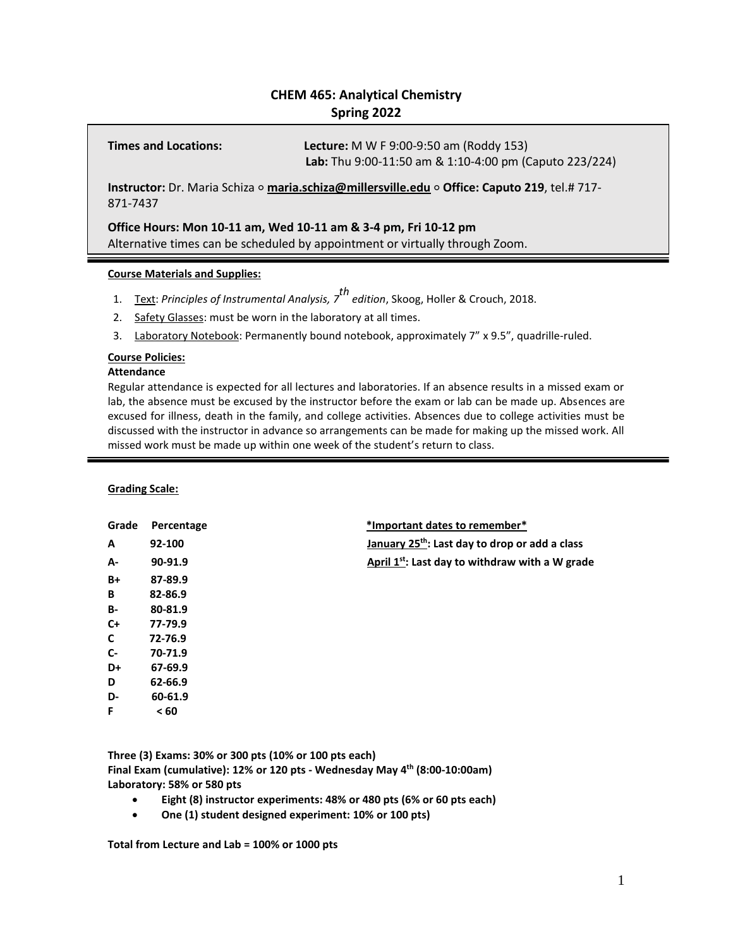# **CHEM 465: Analytical Chemistry Spring 2022**

**Times and Locations: Lecture:** M W F 9:00-9:50 am (Roddy 153) **Lab:** Thu 9:00-11:50 am & 1:10-4:00 pm (Caputo 223/224)

**Instructor:** Dr. Maria Schiza ⚬ **[maria.schiza@millersville.edu](mailto:maria.schiza@millersville.edu)** ⚬ **Office: Caputo 219**, tel.# 717- 871-7437

**Office Hours: Mon 10-11 am, Wed 10-11 am & 3-4 pm, Fri 10-12 pm** Alternative times can be scheduled by appointment or virtually through Zoom.

# **Course Materials and Supplies:**

- 1. Text: *Principles of Instrumental Analysis, 7 th edition*, Skoog, Holler & Crouch, 2018.
- 2. Safety Glasses: must be worn in the laboratory at all times.
- 3. Laboratory Notebook: Permanently bound notebook, approximately 7" x 9.5", quadrille-ruled.

# **Course Policies:**

# **Attendance**

Regular attendance is expected for all lectures and laboratories. If an absence results in a missed exam or lab, the absence must be excused by the instructor before the exam or lab can be made up. Absences are excused for illness, death in the family, and college activities. Absences due to college activities must be discussed with the instructor in advance so arrangements can be made for making up the missed work. All missed work must be made up within one week of the student's return to class.

**Grading Scale:**

| Grade     | Percentage | *Important dates to remember*                               |
|-----------|------------|-------------------------------------------------------------|
| A         | 92-100     | January 25 <sup>th</sup> : Last day to drop or add a class  |
| А-        | 90-91.9    | April 1 <sup>st</sup> : Last day to withdraw with a W grade |
| B+        | 87-89.9    |                                                             |
| В         | 82-86.9    |                                                             |
| <b>B-</b> | 80-81.9    |                                                             |
| C+        | 77-79.9    |                                                             |
| C         | 72-76.9    |                                                             |
| C-        | 70-71.9    |                                                             |
| D+        | 67-69.9    |                                                             |
| D         | 62-66.9    |                                                             |
| D-        | 60-61.9    |                                                             |
| F         | < 60       |                                                             |

**Three (3) Exams: 30% or 300 pts (10% or 100 pts each) Final Exam (cumulative): 12% or 120 pts - Wednesday May 4 th (8:00-10:00am) Laboratory: 58% or 580 pts**

- **Eight (8) instructor experiments: 48% or 480 pts (6% or 60 pts each)**
- **One (1) student designed experiment: 10% or 100 pts)**

**Total from Lecture and Lab = 100% or 1000 pts**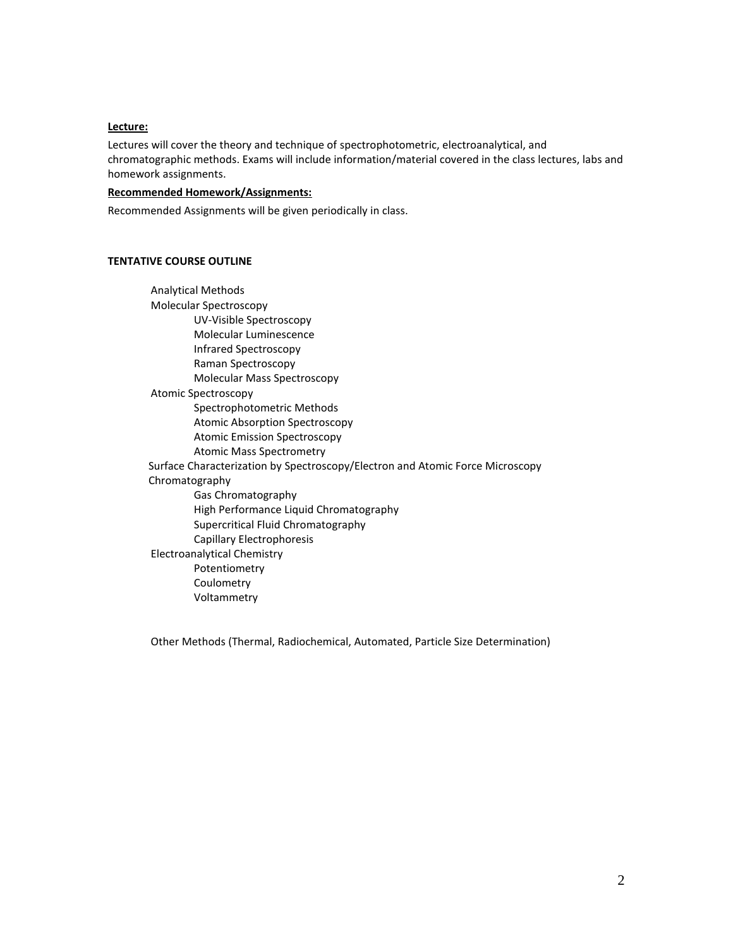### **Lecture:**

Lectures will cover the theory and technique of spectrophotometric, electroanalytical, and chromatographic methods. Exams will include information/material covered in the class lectures, labs and homework assignments.

# **Recommended Homework/Assignments:**

Recommended Assignments will be given periodically in class.

#### **TENTATIVE COURSE OUTLINE**

Analytical Methods Molecular Spectroscopy UV-Visible Spectroscopy Molecular Luminescence Infrared Spectroscopy Raman Spectroscopy Molecular Mass Spectroscopy Atomic Spectroscopy Spectrophotometric Methods Atomic Absorption Spectroscopy Atomic Emission Spectroscopy Atomic Mass Spectrometry Surface Characterization by Spectroscopy/Electron and Atomic Force Microscopy Chromatography Gas Chromatography High Performance Liquid Chromatography Supercritical Fluid Chromatography Capillary Electrophoresis Electroanalytical Chemistry Potentiometry Coulometry Voltammetry

Other Methods (Thermal, Radiochemical, Automated, Particle Size Determination)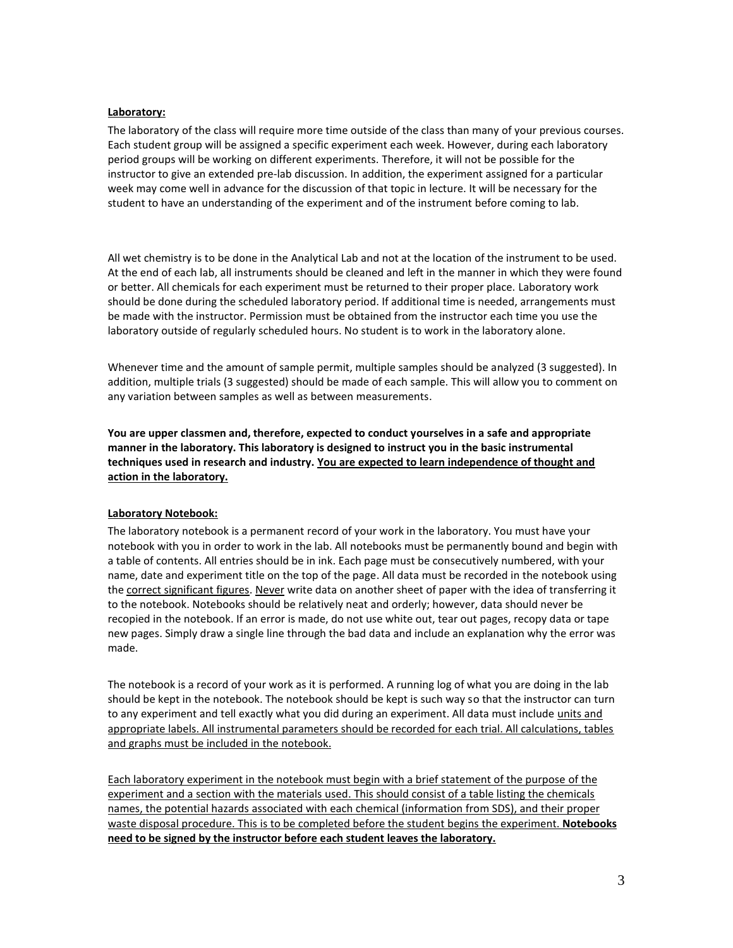# **Laboratory:**

The laboratory of the class will require more time outside of the class than many of your previous courses. Each student group will be assigned a specific experiment each week. However, during each laboratory period groups will be working on different experiments. Therefore, it will not be possible for the instructor to give an extended pre-lab discussion. In addition, the experiment assigned for a particular week may come well in advance for the discussion of that topic in lecture. It will be necessary for the student to have an understanding of the experiment and of the instrument before coming to lab.

All wet chemistry is to be done in the Analytical Lab and not at the location of the instrument to be used. At the end of each lab, all instruments should be cleaned and left in the manner in which they were found or better. All chemicals for each experiment must be returned to their proper place. Laboratory work should be done during the scheduled laboratory period. If additional time is needed, arrangements must be made with the instructor. Permission must be obtained from the instructor each time you use the laboratory outside of regularly scheduled hours. No student is to work in the laboratory alone.

Whenever time and the amount of sample permit, multiple samples should be analyzed (3 suggested). In addition, multiple trials (3 suggested) should be made of each sample. This will allow you to comment on any variation between samples as well as between measurements.

**You are upper classmen and, therefore, expected to conduct yourselves in a safe and appropriate manner in the laboratory. This laboratory is designed to instruct you in the basic instrumental techniques used in research and industry. You are expected to learn independence of thought and action in the laboratory.**

# **Laboratory Notebook:**

The laboratory notebook is a permanent record of your work in the laboratory. You must have your notebook with you in order to work in the lab. All notebooks must be permanently bound and begin with a table of contents. All entries should be in ink. Each page must be consecutively numbered, with your name, date and experiment title on the top of the page. All data must be recorded in the notebook using the correct significant figures. Never write data on another sheet of paper with the idea of transferring it to the notebook. Notebooks should be relatively neat and orderly; however, data should never be recopied in the notebook. If an error is made, do not use white out, tear out pages, recopy data or tape new pages. Simply draw a single line through the bad data and include an explanation why the error was made.

The notebook is a record of your work as it is performed. A running log of what you are doing in the lab should be kept in the notebook. The notebook should be kept is such way so that the instructor can turn to any experiment and tell exactly what you did during an experiment. All data must include units and appropriate labels. All instrumental parameters should be recorded for each trial. All calculations, tables and graphs must be included in the notebook.

Each laboratory experiment in the notebook must begin with a brief statement of the purpose of the experiment and a section with the materials used. This should consist of a table listing the chemicals names, the potential hazards associated with each chemical (information from SDS), and their proper waste disposal procedure. This is to be completed before the student begins the experiment. **Notebooks need to be signed by the instructor before each student leaves the laboratory.**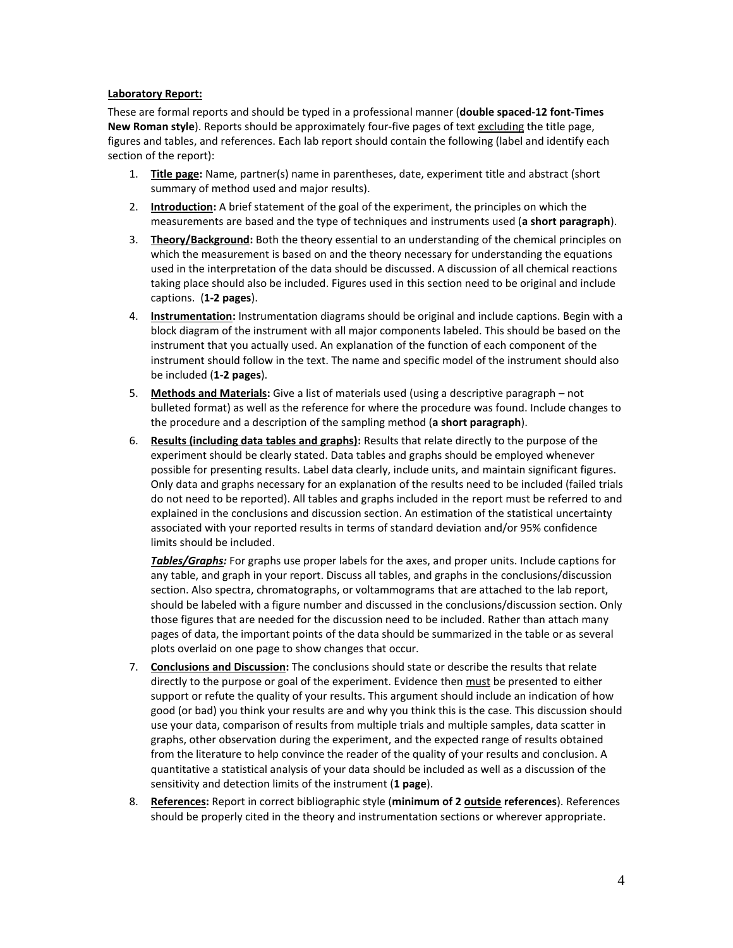# **Laboratory Report:**

These are formal reports and should be typed in a professional manner (**double spaced-12 font-Times New Roman style**). Reports should be approximately four-five pages of text excluding the title page, figures and tables, and references. Each lab report should contain the following (label and identify each section of the report):

- 1. **Title page:** Name, partner(s) name in parentheses, date, experiment title and abstract (short summary of method used and major results).
- 2. **Introduction:** A brief statement of the goal of the experiment, the principles on which the measurements are based and the type of techniques and instruments used (**a short paragraph**).
- 3. **Theory/Background:** Both the theory essential to an understanding of the chemical principles on which the measurement is based on and the theory necessary for understanding the equations used in the interpretation of the data should be discussed. A discussion of all chemical reactions taking place should also be included. Figures used in this section need to be original and include captions. (**1-2 pages**).
- 4. **Instrumentation:** Instrumentation diagrams should be original and include captions. Begin with a block diagram of the instrument with all major components labeled. This should be based on the instrument that you actually used. An explanation of the function of each component of the instrument should follow in the text. The name and specific model of the instrument should also be included (**1-2 pages**).
- 5. **Methods and Materials:** Give a list of materials used (using a descriptive paragraph not bulleted format) as well as the reference for where the procedure was found. Include changes to the procedure and a description of the sampling method (**a short paragraph**).
- 6. **Results (including data tables and graphs):** Results that relate directly to the purpose of the experiment should be clearly stated. Data tables and graphs should be employed whenever possible for presenting results. Label data clearly, include units, and maintain significant figures. Only data and graphs necessary for an explanation of the results need to be included (failed trials do not need to be reported). All tables and graphs included in the report must be referred to and explained in the conclusions and discussion section. An estimation of the statistical uncertainty associated with your reported results in terms of standard deviation and/or 95% confidence limits should be included.

*Tables/Graphs:* For graphs use proper labels for the axes, and proper units. Include captions for any table, and graph in your report. Discuss all tables, and graphs in the conclusions/discussion section. Also spectra, chromatographs, or voltammograms that are attached to the lab report, should be labeled with a figure number and discussed in the conclusions/discussion section. Only those figures that are needed for the discussion need to be included. Rather than attach many pages of data, the important points of the data should be summarized in the table or as several plots overlaid on one page to show changes that occur.

- 7. **Conclusions and Discussion:** The conclusions should state or describe the results that relate directly to the purpose or goal of the experiment. Evidence then must be presented to either support or refute the quality of your results. This argument should include an indication of how good (or bad) you think your results are and why you think this is the case. This discussion should use your data, comparison of results from multiple trials and multiple samples, data scatter in graphs, other observation during the experiment, and the expected range of results obtained from the literature to help convince the reader of the quality of your results and conclusion. A quantitative a statistical analysis of your data should be included as well as a discussion of the sensitivity and detection limits of the instrument (**1 page**).
- 8. **References:** Report in correct bibliographic style (**minimum of 2 outside references**). References should be properly cited in the theory and instrumentation sections or wherever appropriate.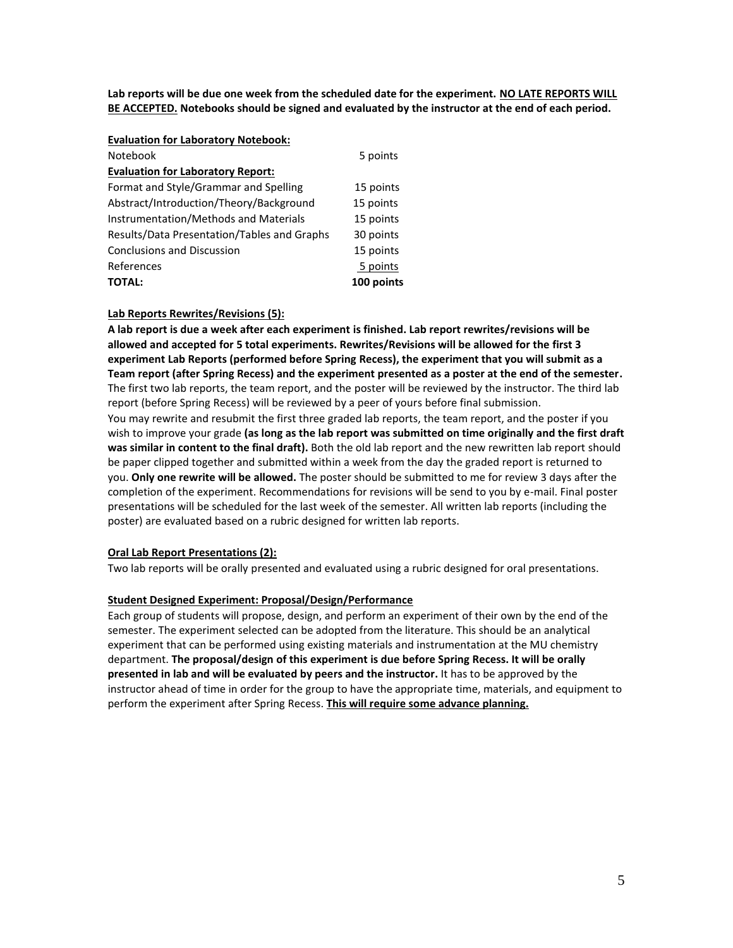**Lab reports will be due one week from the scheduled date for the experiment. NO LATE REPORTS WILL BE ACCEPTED. Notebooks should be signed and evaluated by the instructor at the end of each period.**

#### **Evaluation for Laboratory Notebook:**

| Notebook                                    | 5 points   |
|---------------------------------------------|------------|
| <b>Evaluation for Laboratory Report:</b>    |            |
| Format and Style/Grammar and Spelling       | 15 points  |
| Abstract/Introduction/Theory/Background     | 15 points  |
| Instrumentation/Methods and Materials       | 15 points  |
| Results/Data Presentation/Tables and Graphs | 30 points  |
| <b>Conclusions and Discussion</b>           | 15 points  |
| References                                  | 5 points   |
| <b>TOTAL:</b>                               | 100 points |

#### **Lab Reports Rewrites/Revisions (5):**

**A lab report is due a week after each experiment is finished. Lab report rewrites/revisions will be allowed and accepted for 5 total experiments. Rewrites/Revisions will be allowed for the first 3 experiment Lab Reports (performed before Spring Recess), the experiment that you will submit as a Team report (after Spring Recess) and the experiment presented as a poster at the end of the semester.** The first two lab reports, the team report, and the poster will be reviewed by the instructor. The third lab report (before Spring Recess) will be reviewed by a peer of yours before final submission.

You may rewrite and resubmit the first three graded lab reports, the team report, and the poster if you wish to improve your grade **(as long as the lab report was submitted on time originally and the first draft was similar in content to the final draft).** Both the old lab report and the new rewritten lab report should be paper clipped together and submitted within a week from the day the graded report is returned to you. **Only one rewrite will be allowed.** The poster should be submitted to me for review 3 days after the completion of the experiment. Recommendations for revisions will be send to you by e-mail. Final poster presentations will be scheduled for the last week of the semester. All written lab reports (including the poster) are evaluated based on a rubric designed for written lab reports.

#### **Oral Lab Report Presentations (2):**

Two lab reports will be orally presented and evaluated using a rubric designed for oral presentations.

#### **Student Designed Experiment: Proposal/Design/Performance**

Each group of students will propose, design, and perform an experiment of their own by the end of the semester. The experiment selected can be adopted from the literature. This should be an analytical experiment that can be performed using existing materials and instrumentation at the MU chemistry department. **The proposal/design of this experiment is due before Spring Recess. It will be orally presented in lab and will be evaluated by peers and the instructor.** It has to be approved by the instructor ahead of time in order for the group to have the appropriate time, materials, and equipment to perform the experiment after Spring Recess. **This will require some advance planning.**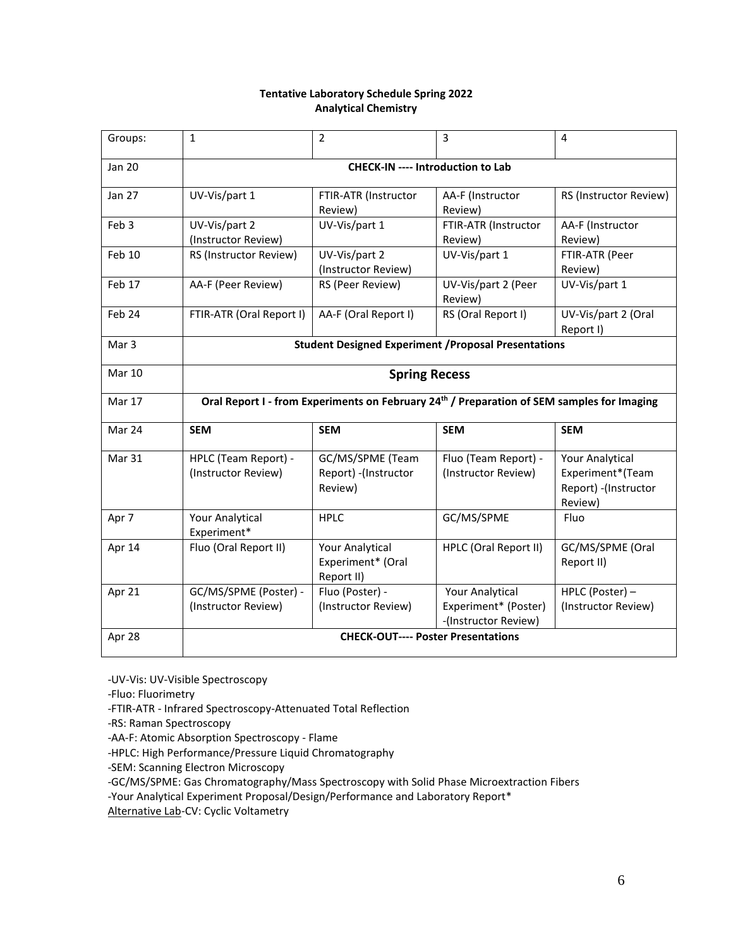# **Tentative Laboratory Schedule Spring 2022 Analytical Chemistry**

| Groups:           | $\mathbf{1}$                                                                               | $\overline{2}$                                       | $\overline{3}$                                                  | $\overline{4}$                                                                 |
|-------------------|--------------------------------------------------------------------------------------------|------------------------------------------------------|-----------------------------------------------------------------|--------------------------------------------------------------------------------|
| Jan 20            | <b>CHECK-IN ---- Introduction to Lab</b>                                                   |                                                      |                                                                 |                                                                                |
| Jan 27            | UV-Vis/part 1                                                                              | FTIR-ATR (Instructor<br>Review)                      | AA-F (Instructor<br>Review)                                     | RS (Instructor Review)                                                         |
| Feb <sub>3</sub>  | UV-Vis/part 2<br>(Instructor Review)                                                       | UV-Vis/part 1                                        | FTIR-ATR (Instructor<br>Review)                                 | AA-F (Instructor<br>Review)                                                    |
| Feb 10            | RS (Instructor Review)                                                                     | UV-Vis/part 2<br>(Instructor Review)                 | UV-Vis/part 1                                                   | FTIR-ATR (Peer<br>Review)                                                      |
| Feb 17            | AA-F (Peer Review)                                                                         | RS (Peer Review)                                     | UV-Vis/part 2 (Peer<br>Review)                                  | UV-Vis/part 1                                                                  |
| Feb <sub>24</sub> | FTIR-ATR (Oral Report I)                                                                   | AA-F (Oral Report I)                                 | RS (Oral Report I)                                              | UV-Vis/part 2 (Oral<br>Report I)                                               |
| Mar <sub>3</sub>  | <b>Student Designed Experiment / Proposal Presentations</b>                                |                                                      |                                                                 |                                                                                |
| <b>Mar 10</b>     | <b>Spring Recess</b>                                                                       |                                                      |                                                                 |                                                                                |
| Mar 17            | Oral Report I - from Experiments on February 24th / Preparation of SEM samples for Imaging |                                                      |                                                                 |                                                                                |
| Mar 24            | <b>SEM</b>                                                                                 | <b>SEM</b>                                           | <b>SEM</b>                                                      | <b>SEM</b>                                                                     |
| Mar 31            | HPLC (Team Report) -<br>(Instructor Review)                                                | GC/MS/SPME (Team<br>Report) - (Instructor<br>Review) | Fluo (Team Report) -<br>(Instructor Review)                     | <b>Your Analytical</b><br>Experiment*(Team<br>Report) - (Instructor<br>Review) |
| Apr 7             | <b>Your Analytical</b><br>Experiment*                                                      | <b>HPLC</b>                                          | GC/MS/SPME                                                      | Fluo                                                                           |
| Apr 14            | Fluo (Oral Report II)                                                                      | Your Analytical<br>Experiment* (Oral<br>Report II)   | HPLC (Oral Report II)                                           | GC/MS/SPME (Oral<br>Report II)                                                 |
| Apr 21            | GC/MS/SPME (Poster) -<br>(Instructor Review)                                               | Fluo (Poster) -<br>(Instructor Review)               | Your Analytical<br>Experiment* (Poster)<br>-(Instructor Review) | HPLC (Poster) -<br>(Instructor Review)                                         |
| Apr 28            | <b>CHECK-OUT---- Poster Presentations</b>                                                  |                                                      |                                                                 |                                                                                |

-UV-Vis: UV-Visible Spectroscopy

-Fluo: Fluorimetry

-FTIR-ATR - Infrared Spectroscopy-Attenuated Total Reflection

-RS: Raman Spectroscopy

-AA-F: Atomic Absorption Spectroscopy - Flame

-HPLC: High Performance/Pressure Liquid Chromatography

-SEM: Scanning Electron Microscopy

-GC/MS/SPME: Gas Chromatography/Mass Spectroscopy with Solid Phase Microextraction Fibers

-Your Analytical Experiment Proposal/Design/Performance and Laboratory Report\*

Alternative Lab-CV: Cyclic Voltametry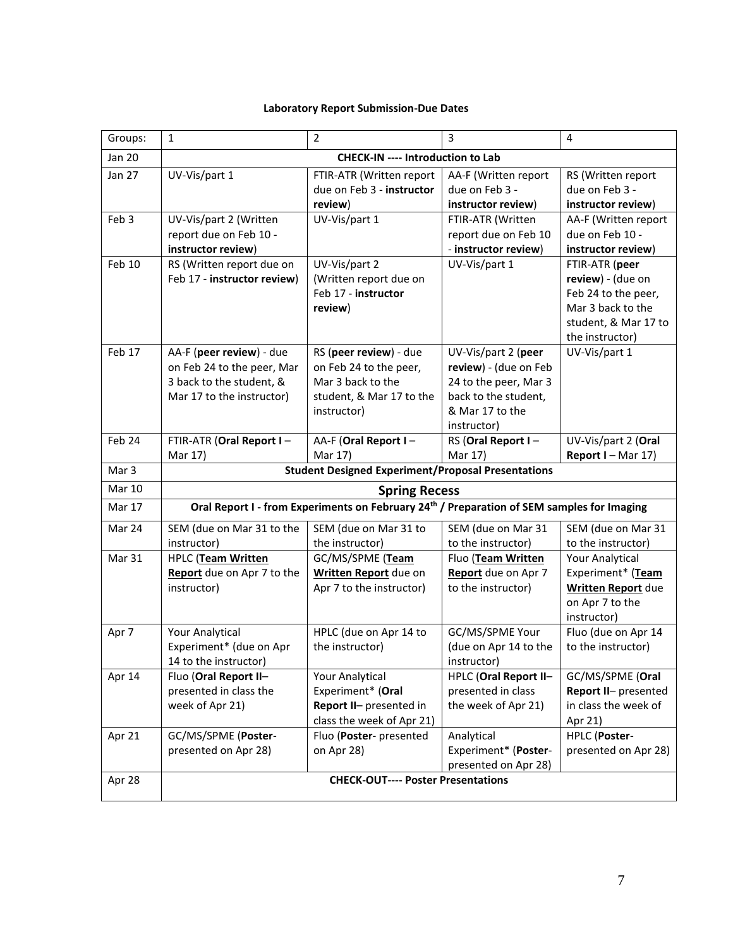# **Laboratory Report Submission-Due Dates**

| Groups:       | $\mathbf{1}$                                                                                                    | $\overline{2}$                                                                                                   | $\overline{3}$                                                                                                                  | 4                                                                                                                          |
|---------------|-----------------------------------------------------------------------------------------------------------------|------------------------------------------------------------------------------------------------------------------|---------------------------------------------------------------------------------------------------------------------------------|----------------------------------------------------------------------------------------------------------------------------|
| <b>Jan 20</b> | <b>CHECK-IN ---- Introduction to Lab</b>                                                                        |                                                                                                                  |                                                                                                                                 |                                                                                                                            |
| <b>Jan 27</b> | UV-Vis/part 1                                                                                                   | FTIR-ATR (Written report<br>due on Feb 3 - instructor<br>review)                                                 | AA-F (Written report<br>due on Feb 3 -<br>instructor review)                                                                    | RS (Written report<br>due on Feb 3 -<br>instructor review)                                                                 |
| Feb 3         | UV-Vis/part 2 (Written<br>report due on Feb 10 -<br>instructor review)                                          | UV-Vis/part 1                                                                                                    | FTIR-ATR (Written<br>report due on Feb 10<br>- instructor review)                                                               | AA-F (Written report<br>due on Feb 10 -<br>instructor review)                                                              |
| Feb 10        | RS (Written report due on<br>Feb 17 - instructor review)                                                        | UV-Vis/part 2<br>(Written report due on<br>Feb 17 - instructor<br>review)                                        | UV-Vis/part 1                                                                                                                   | FTIR-ATR (peer<br>review) - (due on<br>Feb 24 to the peer,<br>Mar 3 back to the<br>student, & Mar 17 to<br>the instructor) |
| Feb 17        | AA-F (peer review) - due<br>on Feb 24 to the peer, Mar<br>3 back to the student, &<br>Mar 17 to the instructor) | RS (peer review) - due<br>on Feb 24 to the peer,<br>Mar 3 back to the<br>student, & Mar 17 to the<br>instructor) | UV-Vis/part 2 (peer<br>review) - (due on Feb<br>24 to the peer, Mar 3<br>back to the student,<br>& Mar 17 to the<br>instructor) | UV-Vis/part 1                                                                                                              |
| Feb 24        | FTIR-ATR (Oral Report I-<br>Mar 17)                                                                             | AA-F (Oral Report I-<br>Mar 17)                                                                                  | RS (Oral Report I-<br>Mar 17)                                                                                                   | UV-Vis/part 2 (Oral<br>Report I - Mar 17)                                                                                  |
| Mar 3         | <b>Student Designed Experiment/Proposal Presentations</b>                                                       |                                                                                                                  |                                                                                                                                 |                                                                                                                            |
| <b>Mar 10</b> | <b>Spring Recess</b>                                                                                            |                                                                                                                  |                                                                                                                                 |                                                                                                                            |
| Mar 17        | Oral Report I - from Experiments on February 24th / Preparation of SEM samples for Imaging                      |                                                                                                                  |                                                                                                                                 |                                                                                                                            |
| Mar 24        | SEM (due on Mar 31 to the<br>instructor)                                                                        | SEM (due on Mar 31 to<br>the instructor)                                                                         | SEM (due on Mar 31<br>to the instructor)                                                                                        | SEM (due on Mar 31<br>to the instructor)                                                                                   |
| Mar 31        | HPLC (Team Written<br>Report due on Apr 7 to the<br>instructor)                                                 | GC/MS/SPME (Team<br>Written Report due on<br>Apr 7 to the instructor)                                            | Fluo (Team Written<br>Report due on Apr 7<br>to the instructor)                                                                 | <b>Your Analytical</b><br>Experiment* (Team<br><b>Written Report due</b><br>on Apr 7 to the<br>instructor)                 |
| Apr 7         | <b>Your Analytical</b><br>Experiment* (due on Apr<br>14 to the instructor)                                      | HPLC (due on Apr 14 to<br>the instructor)                                                                        | GC/MS/SPME Your<br>(due on Apr 14 to the<br>instructor)                                                                         | Fluo (due on Apr 14<br>to the instructor)                                                                                  |
| Apr 14        | Fluo (Oral Report II-<br>presented in class the<br>week of Apr 21)                                              | <b>Your Analytical</b><br>Experiment* (Oral<br>Report II- presented in<br>class the week of Apr 21)              | HPLC (Oral Report II-<br>presented in class<br>the week of Apr 21)                                                              | GC/MS/SPME (Oral<br>Report II- presented<br>in class the week of<br>Apr 21)                                                |
| Apr 21        | GC/MS/SPME (Poster-<br>presented on Apr 28)                                                                     | Fluo (Poster- presented<br>on Apr 28)                                                                            | Analytical<br>Experiment* (Poster-<br>presented on Apr 28)                                                                      | HPLC (Poster-<br>presented on Apr 28)                                                                                      |
| Apr 28        | <b>CHECK-OUT---- Poster Presentations</b>                                                                       |                                                                                                                  |                                                                                                                                 |                                                                                                                            |